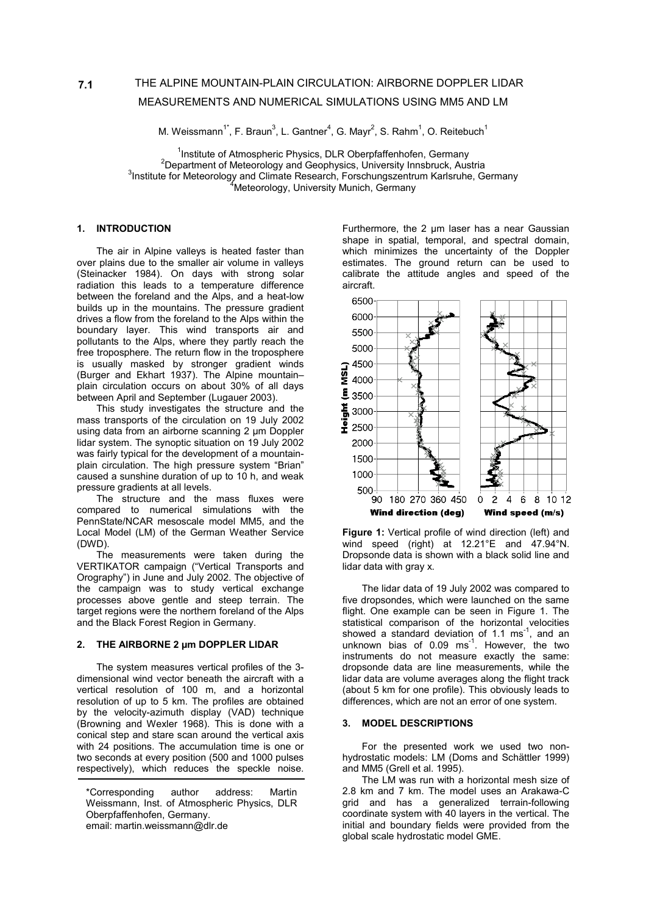# THE ALPINE MOUNTAIN-PLAIN CIRCULATION: AIRBORNE DOPPLER LIDAR MEASUREMENTS AND NUMERICAL SIMULATIONS USING MM5 AND LM

M. Weissmann<sup>1\*</sup>, F. Braun<sup>3</sup>, L. Gantner<sup>4</sup>, G. Mayr<sup>2</sup>, S. Rahm<sup>1</sup>, O. Reitebuch<sup>1</sup>

<sup>1</sup> Institute of Atmospheric Physics, DLR Oberpfaffenhofen, Germany<br><sup>2</sup> Department of Metagraleau and Coophysics, University Inportuals, Aug  $2$ Department of Meteorology and Geophysics, University Innsbruck, Austria  $3$ Institute for Meteorology and Climate Research, Forschungszentrum Karlsruhe, Germany <sup>4</sup>Meteorology, University Munich, Germany

#### **1. INTRODUCTION**

The air in Alpine valleys is heated faster than over plains due to the smaller air volume in valleys (Steinacker 1984). On days with strong solar radiation this leads to a temperature difference between the foreland and the Alps, and a heat-low builds up in the mountains. The pressure gradient drives a flow from the foreland to the Alps within the boundary layer. This wind transports air and pollutants to the Alps, where they partly reach the free troposphere. The return flow in the troposphere is usually masked by stronger gradient winds (Burger and Ekhart 1937). The Alpine mountain– plain circulation occurs on about 30% of all days between April and September (Lugauer 2003).

This study investigates the structure and the mass transports of the circulation on 19 July 2002 using data from an airborne scanning 2 µm Doppler lidar system. The synoptic situation on 19 July 2002 was fairly typical for the development of a mountainplain circulation. The high pressure system "Brian" caused a sunshine duration of up to 10 h, and weak pressure gradients at all levels.

The structure and the mass fluxes were compared to numerical simulations with the PennState/NCAR mesoscale model MM5, and the Local Model (LM) of the German Weather Service (DWD).

The measurements were taken during the VERTIKATOR campaign ("Vertical Transports and Orography") in June and July 2002. The objective of the campaign was to study vertical exchange processes above gentle and steep terrain. The target regions were the northern foreland of the Alps and the Black Forest Region in Germany.

# **2. THE AIRBORNE 2 µm DOPPLER LIDAR**

The system measures vertical profiles of the 3 dimensional wind vector beneath the aircraft with a vertical resolution of 100 m, and a horizontal resolution of up to 5 km. The profiles are obtained by the velocity-azimuth display (VAD) technique (Browning and Wexler 1968). This is done with a conical step and stare scan around the vertical axis with 24 positions. The accumulation time is one or two seconds at every position (500 and 1000 pulses respectively), which reduces the speckle noise.

Furthermore, the 2 µm laser has a near Gaussian shape in spatial, temporal, and spectral domain, which minimizes the uncertainty of the Doppler estimates. The ground return can be used to calibrate the attitude angles and speed of the aircraft.



**Figure 1:** Vertical profile of wind direction (left) and wind speed (right) at  $12.21^{\circ}E$  and  $47.94^{\circ}N$ . Dropsonde data is shown with a black solid line and lidar data with gray x.

The lidar data of 19 July 2002 was compared to five dropsondes, which were launched on the same flight. One example can be seen in Figure 1. The statistical comparison of the horizontal velocities showed a standard deviation of 1.1 ms $^{-1}$ , and an unknown bias of 0.09 ms<sup>-1</sup>. However, the two instruments do not measure exactly the same: dropsonde data are line measurements, while the lidar data are volume averages along the flight track (about 5 km for one profile). This obviously leads to differences, which are not an error of one system.

## **3. MODEL DESCRIPTIONS**

For the presented work we used two nonhydrostatic models: LM (Doms and Schättler 1999) and MM5 (Grell et al. 1995).

The LM was run with a horizontal mesh size of 2.8 km and 7 km. The model uses an Arakawa-C grid and has a generalized terrain-following coordinate system with 40 layers in the vertical. The initial and boundary fields were provided from the global scale hydrostatic model GME.

<sup>\*</sup>Corresponding author address: Martin Weissmann, Inst. of Atmospheric Physics, DLR Oberpfaffenhofen, Germany. email: martin.weissmann@dlr.de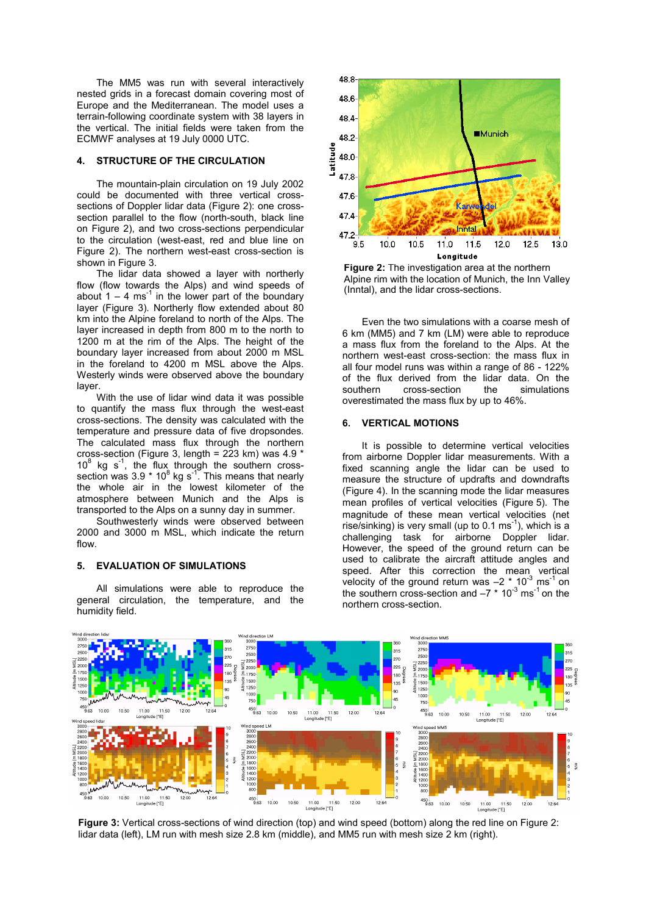The MM5 was run with several interactively nested grids in a forecast domain covering most of Europe and the Mediterranean. The model uses a terrain-following coordinate system with 38 layers in the vertical. The initial fields were taken from the ECMWF analyses at 19 July 0000 UTC.

#### **4. STRUCTURE OF THE CIRCULATION**

The mountain-plain circulation on 19 July 2002 could be documented with three vertical crosssections of Doppler lidar data (Figure 2): one crosssection parallel to the flow (north-south, black line on Figure 2), and two cross-sections perpendicular to the circulation (west-east, red and blue line on Figure 2). The northern west-east cross-section is shown in Figure 3.

The lidar data showed a layer with northerly flow (flow towards the Alps) and wind speeds of about  $1 - 4$  ms<sup>-1</sup> in the lower part of the boundary layer (Figure 3). Northerly flow extended about 80 km into the Alpine foreland to north of the Alps. The layer increased in depth from 800 m to the north to 1200 m at the rim of the Alps. The height of the boundary layer increased from about 2000 m MSL in the foreland to 4200 m MSL above the Alps. Westerly winds were observed above the boundary layer.

With the use of lidar wind data it was possible to quantify the mass flux through the west-east cross-sections. The density was calculated with the temperature and pressure data of five dropsondes. The calculated mass flux through the northern cross-section (Figure 3, length = 223 km) was 4.9 \*  $10^8$  kg s<sup>-1</sup>, the flux through the southern crosssection was 3.9  $*$  10<sup>8</sup> kg s<sup>-1</sup>. This means that nearly the whole air in the lowest kilometer of the atmosphere between Munich and the Alps is transported to the Alps on a sunny day in summer.

Southwesterly winds were observed between 2000 and 3000 m MSL, which indicate the return flow.

## **5. EVALUATION OF SIMULATIONS**

All simulations were able to reproduce the general circulation, the temperature, and the humidity field.



**Figure 2:** The investigation area at the northern Alpine rim with the location of Munich, the Inn Valley (Inntal), and the lidar cross-sections.

Even the two simulations with a coarse mesh of 6 km (MM5) and 7 km (LM) were able to reproduce a mass flux from the foreland to the Alps. At the northern west-east cross-section: the mass flux in all four model runs was within a range of 86 - 122% of the flux derived from the lidar data. On the southern cross-section the simulations overestimated the mass flux by up to 46%.

#### **6. VERTICAL MOTIONS**

It is possible to determine vertical velocities from airborne Doppler lidar measurements. With a fixed scanning angle the lidar can be used to measure the structure of updrafts and downdrafts (Figure 4). In the scanning mode the lidar measures mean profiles of vertical velocities (Figure 5). The magnitude of these mean vertical velocities (net rise/sinking) is very small (up to  $0.1 \text{ ms}^{-1}$ ), which is a challenging task for airborne Doppler lidar. However, the speed of the ground return can be used to calibrate the aircraft attitude angles and speed. After this correction the mean vertical velocity of the ground return was  $-2 * 10^{-3}$  ms<sup>-1</sup> on the southern cross-section and  $-7$   $*$  10<sup>-3</sup> ms<sup>-1</sup> on the northern cross-section.



**Figure 3:** Vertical cross-sections of wind direction (top) and wind speed (bottom) along the red line on Figure 2: lidar data (left), LM run with mesh size 2.8 km (middle), and MM5 run with mesh size 2 km (right).